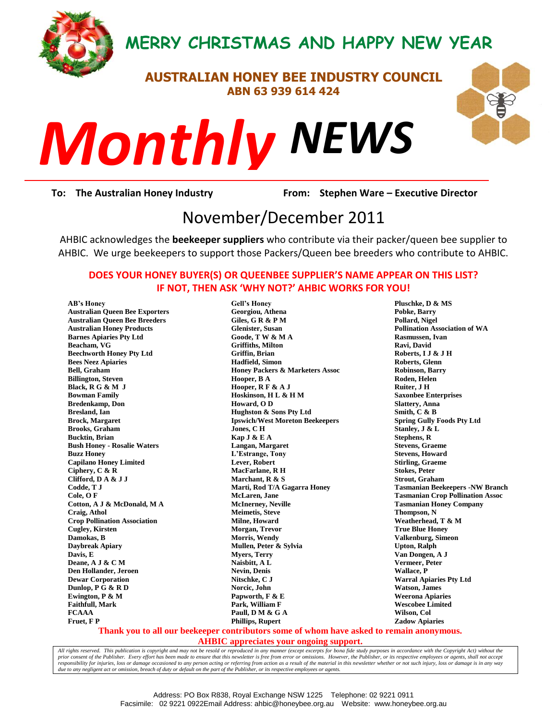

## **MERRY CHRISTMAS AND HAPPY NEW YEAR**

## **AUSTRALIAN HONEY BEE INDUSTRY COUNCIL ABN 63 939 614 424**



*NEWS Monthly*

**To: The Australian Honey Industry From: Stephen Ware – Executive Director**

# <sup>1</sup><br>| From: Stephen Ware<br>| November/December 2011

AHBIC acknowledges the **beekeeper suppliers** who contribute via their packer/queen bee supplier to AHBIC. We urge beekeepers to support those Packers/Queen bee breeders who contribute to AHBIC.

#### **DOES YOUR HONEY BUYER(S) OR QUEENBEE SUPPLIER'S NAME APPEAR ON THIS LIST? IF NOT, THEN ASK 'WHY NOT?' AHBIC WORKS FOR YOU!**

**AB's Honey Australian Queen Bee Exporters Australian Queen Bee Breeders Australian Honey Products Barnes Apiaries Pty Ltd Beacham, VG Beechworth Honey Pty Ltd Bees Neez Apiaries Bell, Graham Billington, Steven Black, R G & M J Bowman Family Bredenkamp, Don Bresland, Ian Brock, Margaret Brooks, Graham Bucktin, Brian Bush Honey - Rosalie Waters Buzz Honey Capilano Honey Limited Ciphery, C & R Clifford, D A & J J Codde, T J Cole, O F Cotton, A J & McDonald, M A Craig, Athol Crop Pollination Association Cugley, Kirsten Damokas, B Daybreak Apiary Davis, E Deane, A J & C M Den Hollander, Jeroen Dewar Corporation Dunlop, P G & R D Ewington, P & M Faithfull, Mark FCAAA Fruet, F P**

**Gell's Honey Georgiou, Athena Giles, G R & P M Glenister, Susan Goode, T W & M A Griffiths, Milton Griffin, Brian Hadfield, Simon Honey Packers & Marketers Assoc Hooper, B A Hooper, R F & A J Hoskinson, H L & H M Howard, O D Hughston & Sons Pty Ltd Ipswich/West Moreton Beekeepers Jones, C H Kap J & E A Langan, Margaret L'Estrange, Tony Lever, Robert MacFarlane, R H Marchant, R & S Marti, Rod T/A Gagarra Honey McLaren, Jane McInerney, Neville Meimetis, Steve Milne, Howard Morgan, Trevor Morris, Wendy Mullen, Peter & Sylvia Myers, Terry Naisbitt, A L Nevin, Denis Nitschke, C J Norcic, John Papworth, F & E Park, William F Paull, D M & G A Phillips, Rupert**

**Pluschke, D & MS Pobke, Barry Pollard, Nigel Pollination Association of WA Rasmussen, Ivan Ravi, David Roberts, I J & J H Roberts, Glenn Robinson, Barry Roden, Helen Ruiter, J H Saxonbee Enterprises Slattery, Anna Smith, C & B Spring Gully Foods Pty Ltd Stanley, J & L Stephens, R Stevens, Graeme Stevens, Howard Stirling, Graeme Stokes, Peter Strout, Graham Tasmanian Beekeepers -NW Branch Tasmanian Crop Pollination Assoc Tasmanian Honey Company Thompson, N Weatherhead, T & M True Blue Honey Valkenburg, Simeon Upton, Ralph Van Dongen, A J Vermeer, Peter Wallace, P Warral Apiaries Pty Ltd Watson, James Weerona Apiaries Wescobee Limited Wilson, Col Zadow Apiaries**

#### **Thank you to all our beekeeper contributors some of whom have asked to remain anonymous.**

**AHBIC appreciates your ongoing support.**

*All rights reserved. This publication is copyright and may not be resold or reproduced in any manner (except excerpts for bona fide study purposes in accordance with the Copyright Act) without the*  prior consent of the Publisher. Every effort has been made to ensure that this newsletter is free from error or omissions. However, the Publisher, or its respective employees or agents, shall not accept<br>responsibility for *due to any negligent act or omission, breach of duty or default on the part of the Publisher, or its respective employees or agents.*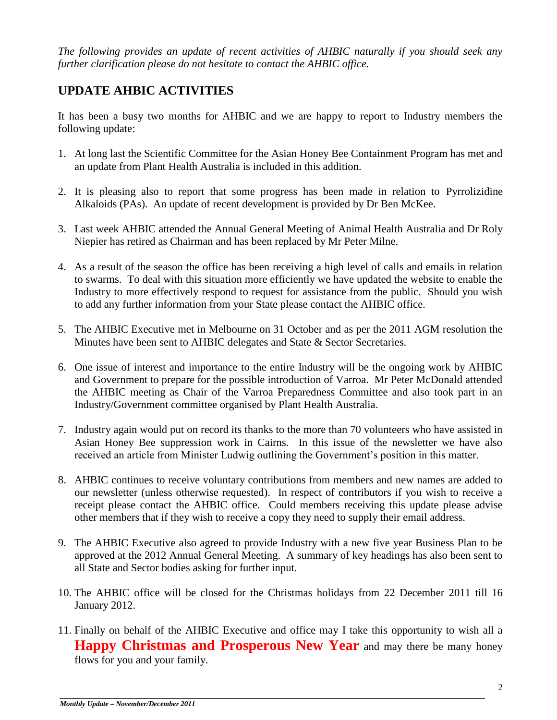*The following provides an update of recent activities of AHBIC naturally if you should seek any further clarification please do not hesitate to contact the AHBIC office.*

## **UPDATE AHBIC ACTIVITIES**

It has been a busy two months for AHBIC and we are happy to report to Industry members the following update:

- 1. At long last the Scientific Committee for the Asian Honey Bee Containment Program has met and an update from Plant Health Australia is included in this addition.
- 2. It is pleasing also to report that some progress has been made in relation to Pyrrolizidine Alkaloids (PAs). An update of recent development is provided by Dr Ben McKee.
- 3. Last week AHBIC attended the Annual General Meeting of Animal Health Australia and Dr Roly Niepier has retired as Chairman and has been replaced by Mr Peter Milne.
- 4. As a result of the season the office has been receiving a high level of calls and emails in relation to swarms. To deal with this situation more efficiently we have updated the website to enable the Industry to more effectively respond to request for assistance from the public. Should you wish to add any further information from your State please contact the AHBIC office.
- 5. The AHBIC Executive met in Melbourne on 31 October and as per the 2011 AGM resolution the Minutes have been sent to AHBIC delegates and State & Sector Secretaries.
- 6. One issue of interest and importance to the entire Industry will be the ongoing work by AHBIC and Government to prepare for the possible introduction of Varroa. Mr Peter McDonald attended the AHBIC meeting as Chair of the Varroa Preparedness Committee and also took part in an Industry/Government committee organised by Plant Health Australia.
- 7. Industry again would put on record its thanks to the more than 70 volunteers who have assisted in Asian Honey Bee suppression work in Cairns. In this issue of the newsletter we have also received an article from Minister Ludwig outlining the Government's position in this matter.
- 8. AHBIC continues to receive voluntary contributions from members and new names are added to our newsletter (unless otherwise requested). In respect of contributors if you wish to receive a receipt please contact the AHBIC office. Could members receiving this update please advise other members that if they wish to receive a copy they need to supply their email address.
- 9. The AHBIC Executive also agreed to provide Industry with a new five year Business Plan to be approved at the 2012 Annual General Meeting. A summary of key headings has also been sent to all State and Sector bodies asking for further input.
- 10. The AHBIC office will be closed for the Christmas holidays from 22 December 2011 till 16 January 2012.
- 11. Finally on behalf of the AHBIC Executive and office may I take this opportunity to wish all a **Happy Christmas and Prosperous New Year** and may there be many honey flows for you and your family.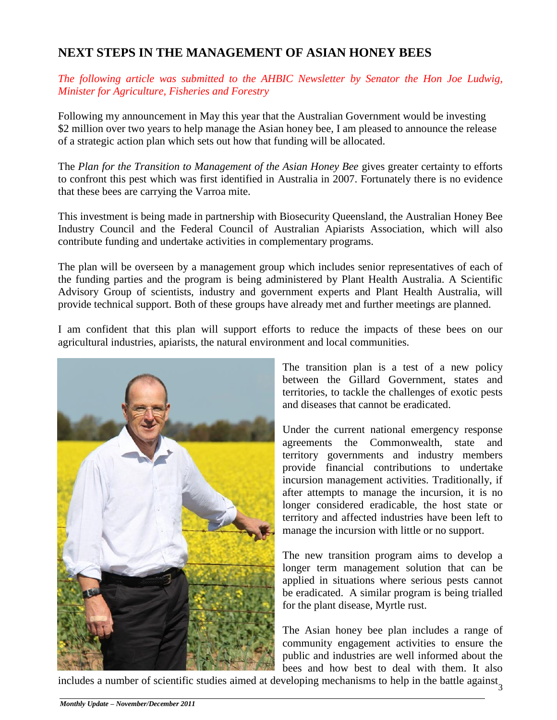## **NEXT STEPS IN THE MANAGEMENT OF ASIAN HONEY BEES**

*The following article was submitted to the AHBIC Newsletter by Senator the Hon Joe Ludwig, Minister for Agriculture, Fisheries and Forestry*

Following my announcement in May this year that the Australian Government would be investing \$2 million over two years to help manage the Asian honey bee, I am pleased to announce the release of a strategic action plan which sets out how that funding will be allocated.

The *Plan for the Transition to Management of the Asian Honey Bee* gives greater certainty to efforts to confront this pest which was first identified in Australia in 2007. Fortunately there is no evidence that these bees are carrying the Varroa mite.

This investment is being made in partnership with Biosecurity Queensland, the Australian Honey Bee Industry Council and the Federal Council of Australian Apiarists Association, which will also contribute funding and undertake activities in complementary programs.

The plan will be overseen by a management group which includes senior representatives of each of the funding parties and the program is being administered by Plant Health Australia. A Scientific Advisory Group of scientists, industry and government experts and Plant Health Australia, will provide technical support. Both of these groups have already met and further meetings are planned.

I am confident that this plan will support efforts to reduce the impacts of these bees on our agricultural industries, apiarists, the natural environment and local communities.



The transition plan is a test of a new policy between the Gillard Government, states and territories, to tackle the challenges of exotic pests and diseases that cannot be eradicated.

Under the current national emergency response agreements the Commonwealth, state and territory governments and industry members provide financial contributions to undertake incursion management activities. Traditionally, if after attempts to manage the incursion, it is no longer considered eradicable, the host state or territory and affected industries have been left to manage the incursion with little or no support.

The new transition program aims to develop a longer term management solution that can be applied in situations where serious pests cannot be eradicated. A similar program is being trialled for the plant disease, Myrtle rust.

The Asian honey bee plan includes a range of community engagement activities to ensure the public and industries are well informed about the bees and how best to deal with them. It also

includes a number of scientific studies aimed at developing mechanisms to help in the battle against<sub>3</sub>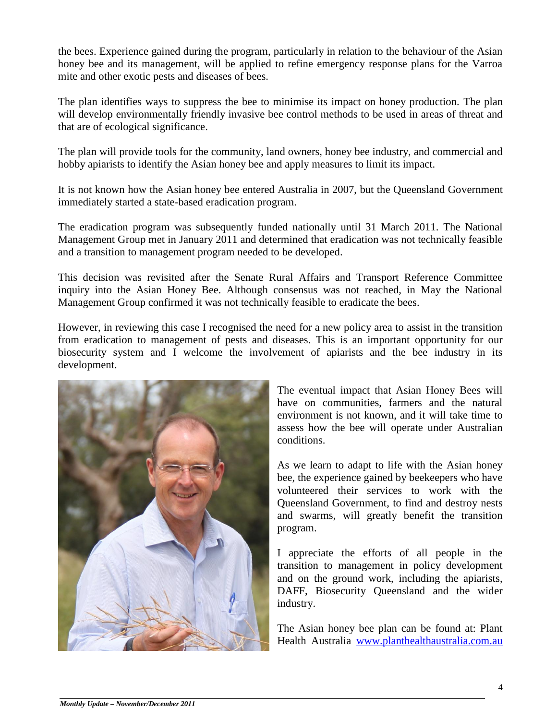the bees. Experience gained during the program, particularly in relation to the behaviour of the Asian honey bee and its management, will be applied to refine emergency response plans for the Varroa mite and other exotic pests and diseases of bees.

The plan identifies ways to suppress the bee to minimise its impact on honey production. The plan will develop environmentally friendly invasive bee control methods to be used in areas of threat and that are of ecological significance.

The plan will provide tools for the community, land owners, honey bee industry, and commercial and hobby apiarists to identify the Asian honey bee and apply measures to limit its impact.

It is not known how the Asian honey bee entered Australia in 2007, but the Queensland Government immediately started a state-based eradication program.

The eradication program was subsequently funded nationally until 31 March 2011. The National Management Group met in January 2011 and determined that eradication was not technically feasible and a transition to management program needed to be developed.

This decision was revisited after the Senate Rural Affairs and Transport Reference Committee inquiry into the Asian Honey Bee. Although consensus was not reached, in May the National Management Group confirmed it was not technically feasible to eradicate the bees.

However, in reviewing this case I recognised the need for a new policy area to assist in the transition from eradication to management of pests and diseases. This is an important opportunity for our biosecurity system and I welcome the involvement of apiarists and the bee industry in its development.



The eventual impact that Asian Honey Bees will have on communities, farmers and the natural environment is not known, and it will take time to assess how the bee will operate under Australian conditions.

As we learn to adapt to life with the Asian honey bee, the experience gained by beekeepers who have volunteered their services to work with the Queensland Government, to find and destroy nests and swarms, will greatly benefit the transition program.

I appreciate the efforts of all people in the transition to management in policy development and on the ground work, including the apiarists, DAFF, Biosecurity Queensland and the wider industry.

The Asian honey bee plan can be found at: Plant Health Australia [www.planthealthaustralia.com.au](http://www.planthealthaustralia.com.au/)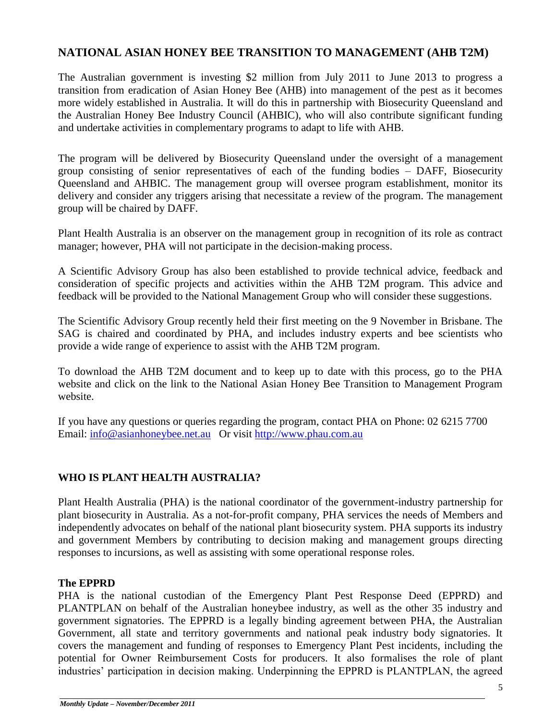#### **NATIONAL ASIAN HONEY BEE TRANSITION TO MANAGEMENT (AHB T2M)**

The Australian government is investing \$2 million from July 2011 to June 2013 to progress a transition from eradication of Asian Honey Bee (AHB) into management of the pest as it becomes more widely established in Australia. It will do this in partnership with Biosecurity Queensland and the Australian Honey Bee Industry Council (AHBIC), who will also contribute significant funding and undertake activities in complementary programs to adapt to life with AHB.

The program will be delivered by Biosecurity Queensland under the oversight of a management group consisting of senior representatives of each of the funding bodies – DAFF, Biosecurity Queensland and AHBIC. The management group will oversee program establishment, monitor its delivery and consider any triggers arising that necessitate a review of the program. The management group will be chaired by DAFF.

Plant Health Australia is an observer on the management group in recognition of its role as contract manager; however, PHA will not participate in the decision-making process.

A Scientific Advisory Group has also been established to provide technical advice, feedback and consideration of specific projects and activities within the AHB T2M program. This advice and feedback will be provided to the National Management Group who will consider these suggestions.

The Scientific Advisory Group recently held their first meeting on the 9 November in Brisbane. The SAG is chaired and coordinated by PHA, and includes industry experts and bee scientists who provide a wide range of experience to assist with the AHB T2M program.

To download the AHB T2M document and to keep up to date with this process, go to the PHA website and click on the link to the National Asian Honey Bee Transition to Management Program website.

If you have any questions or queries regarding the program, contact PHA on Phone: 02 6215 7700 Email: [info@asianhoneybee.net.au](mailto:info@asianhoneybee.net.au) Or visit [http://www.phau.com.au](http://www.phau.com.au/)

#### **WHO IS PLANT HEALTH AUSTRALIA?**

Plant Health Australia (PHA) is the national coordinator of the government-industry partnership for plant biosecurity in Australia. As a not-for-profit company, PHA services the needs of Members and independently advocates on behalf of the national plant biosecurity system. PHA supports its industry and government Members by contributing to decision making and management groups directing responses to incursions, as well as assisting with some operational response roles.

#### **The EPPRD**

PHA is the national custodian of the Emergency Plant Pest Response Deed (EPPRD) and PLANTPLAN on behalf of the Australian honeybee industry, as well as the other 35 industry and government signatories. The EPPRD is a legally binding agreement between PHA, the Australian Government, all state and territory governments and national peak industry body signatories. It covers the management and funding of responses to Emergency Plant Pest incidents, including the potential for Owner Reimbursement Costs for producers. It also formalises the role of plant industries' participation in decision making. Underpinning the EPPRD is PLANTPLAN, the agreed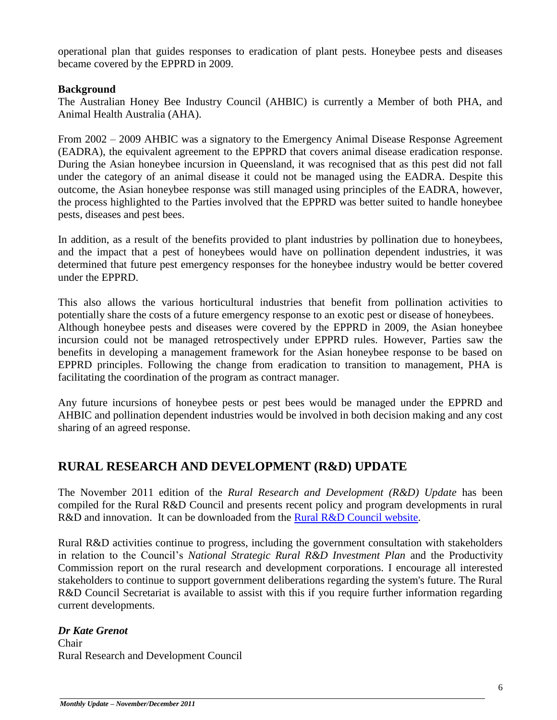operational plan that guides responses to eradication of plant pests. Honeybee pests and diseases became covered by the EPPRD in 2009.

#### **Background**

The Australian Honey Bee Industry Council (AHBIC) is currently a Member of both PHA, and Animal Health Australia (AHA).

From 2002 – 2009 AHBIC was a signatory to the Emergency Animal Disease Response Agreement (EADRA), the equivalent agreement to the EPPRD that covers animal disease eradication response. During the Asian honeybee incursion in Queensland, it was recognised that as this pest did not fall under the category of an animal disease it could not be managed using the EADRA. Despite this outcome, the Asian honeybee response was still managed using principles of the EADRA, however, the process highlighted to the Parties involved that the EPPRD was better suited to handle honeybee pests, diseases and pest bees.

In addition, as a result of the benefits provided to plant industries by pollination due to honeybees, and the impact that a pest of honeybees would have on pollination dependent industries, it was determined that future pest emergency responses for the honeybee industry would be better covered under the EPPRD.

This also allows the various horticultural industries that benefit from pollination activities to potentially share the costs of a future emergency response to an exotic pest or disease of honeybees. Although honeybee pests and diseases were covered by the EPPRD in 2009, the Asian honeybee incursion could not be managed retrospectively under EPPRD rules. However, Parties saw the benefits in developing a management framework for the Asian honeybee response to be based on EPPRD principles. Following the change from eradication to transition to management, PHA is facilitating the coordination of the program as contract manager.

Any future incursions of honeybee pests or pest bees would be managed under the EPPRD and AHBIC and pollination dependent industries would be involved in both decision making and any cost sharing of an agreed response.

## **RURAL RESEARCH AND DEVELOPMENT (R&D) UPDATE**

The November 2011 edition of the *Rural Research and Development (R&D) Update* has been compiled for the Rural R&D Council and presents recent policy and program developments in rural R&D and innovation. It can be downloaded from the [Rural R&D Council website.](http://www.daff.gov.au/agriculture-food/innovation/council)

Rural R&D activities continue to progress, including the government consultation with stakeholders in relation to the Council's *National Strategic Rural R&D Investment Plan* and the Productivity Commission report on the rural research and development corporations. I encourage all interested stakeholders to continue to support government deliberations regarding the system's future. The Rural R&D Council Secretariat is available to assist with this if you require further information regarding current developments.

*Dr Kate Grenot* Chair Rural Research and Development Council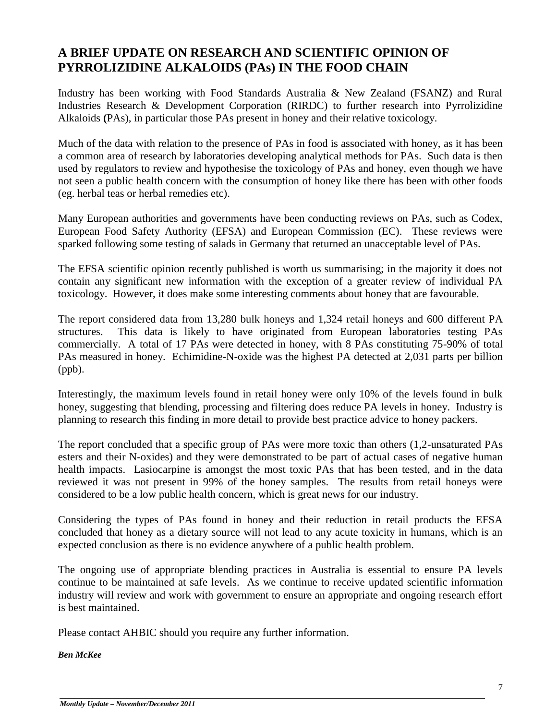## **A BRIEF UPDATE ON RESEARCH AND SCIENTIFIC OPINION OF PYRROLIZIDINE ALKALOIDS (PAs) IN THE FOOD CHAIN**

Industry has been working with Food Standards Australia & New Zealand (FSANZ) and Rural Industries Research & Development Corporation (RIRDC) to further research into Pyrrolizidine Alkaloids **(**PAs), in particular those PAs present in honey and their relative toxicology.

Much of the data with relation to the presence of PAs in food is associated with honey, as it has been a common area of research by laboratories developing analytical methods for PAs. Such data is then used by regulators to review and hypothesise the toxicology of PAs and honey, even though we have not seen a public health concern with the consumption of honey like there has been with other foods (eg. herbal teas or herbal remedies etc).

Many European authorities and governments have been conducting reviews on PAs, such as Codex, European Food Safety Authority (EFSA) and European Commission (EC). These reviews were sparked following some testing of salads in Germany that returned an unacceptable level of PAs.

The EFSA scientific opinion recently published is worth us summarising; in the majority it does not contain any significant new information with the exception of a greater review of individual PA toxicology. However, it does make some interesting comments about honey that are favourable.

The report considered data from 13,280 bulk honeys and 1,324 retail honeys and 600 different PA structures. This data is likely to have originated from European laboratories testing PAs commercially. A total of 17 PAs were detected in honey, with 8 PAs constituting 75-90% of total PAs measured in honey. Echimidine-N-oxide was the highest PA detected at 2,031 parts per billion (ppb).

Interestingly, the maximum levels found in retail honey were only 10% of the levels found in bulk honey, suggesting that blending, processing and filtering does reduce PA levels in honey. Industry is planning to research this finding in more detail to provide best practice advice to honey packers.

The report concluded that a specific group of PAs were more toxic than others (1,2-unsaturated PAs esters and their N-oxides) and they were demonstrated to be part of actual cases of negative human health impacts. Lasiocarpine is amongst the most toxic PAs that has been tested, and in the data reviewed it was not present in 99% of the honey samples. The results from retail honeys were considered to be a low public health concern, which is great news for our industry.

Considering the types of PAs found in honey and their reduction in retail products the EFSA concluded that honey as a dietary source will not lead to any acute toxicity in humans, which is an expected conclusion as there is no evidence anywhere of a public health problem.

The ongoing use of appropriate blending practices in Australia is essential to ensure PA levels continue to be maintained at safe levels. As we continue to receive updated scientific information industry will review and work with government to ensure an appropriate and ongoing research effort is best maintained.

Please contact AHBIC should you require any further information.

*Ben McKee*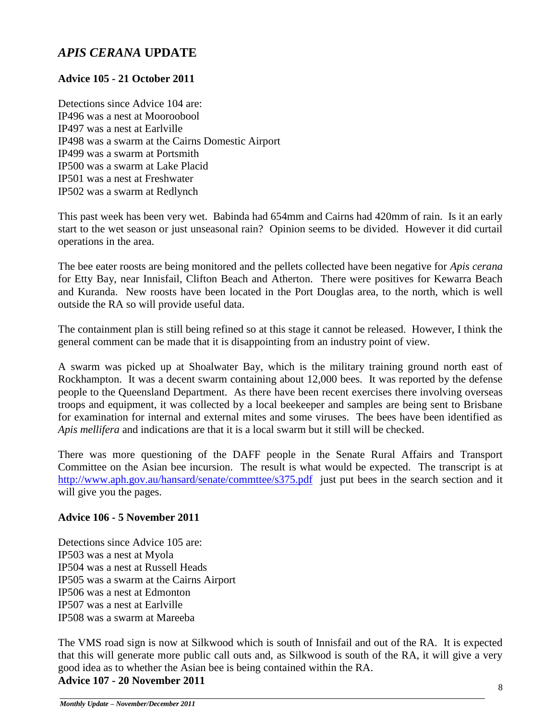## *APIS CERANA* **UPDATE**

#### **Advice 105 - 21 October 2011**

Detections since Advice 104 are: IP496 was a nest at Mooroobool IP497 was a nest at Earlville IP498 was a swarm at the Cairns Domestic Airport IP499 was a swarm at Portsmith IP500 was a swarm at Lake Placid IP501 was a nest at Freshwater IP502 was a swarm at Redlynch

This past week has been very wet. Babinda had 654mm and Cairns had 420mm of rain. Is it an early start to the wet season or just unseasonal rain? Opinion seems to be divided. However it did curtail operations in the area.

The bee eater roosts are being monitored and the pellets collected have been negative for *Apis cerana* for Etty Bay, near Innisfail, Clifton Beach and Atherton. There were positives for Kewarra Beach and Kuranda. New roosts have been located in the Port Douglas area, to the north, which is well outside the RA so will provide useful data.

The containment plan is still being refined so at this stage it cannot be released. However, I think the general comment can be made that it is disappointing from an industry point of view.

A swarm was picked up at Shoalwater Bay, which is the military training ground north east of Rockhampton. It was a decent swarm containing about 12,000 bees. It was reported by the defense people to the Queensland Department. As there have been recent exercises there involving overseas troops and equipment, it was collected by a local beekeeper and samples are being sent to Brisbane for examination for internal and external mites and some viruses. The bees have been identified as *Apis mellifera* and indications are that it is a local swarm but it still will be checked.

There was more questioning of the DAFF people in the Senate Rural Affairs and Transport Committee on the Asian bee incursion. The result is what would be expected. The transcript is at <http://www.aph.gov.au/hansard/senate/commttee/s375.pdf> just put bees in the search section and it will give you the pages.

#### **Advice 106 - 5 November 2011**

Detections since Advice 105 are: IP503 was a nest at Myola IP504 was a nest at Russell Heads IP505 was a swarm at the Cairns Airport IP506 was a nest at Edmonton IP507 was a nest at Earlville IP508 was a swarm at Mareeba

The VMS road sign is now at Silkwood which is south of Innisfail and out of the RA. It is expected that this will generate more public call outs and, as Silkwood is south of the RA, it will give a very good idea as to whether the Asian bee is being contained within the RA.

#### **Advice 107 - 20 November 2011**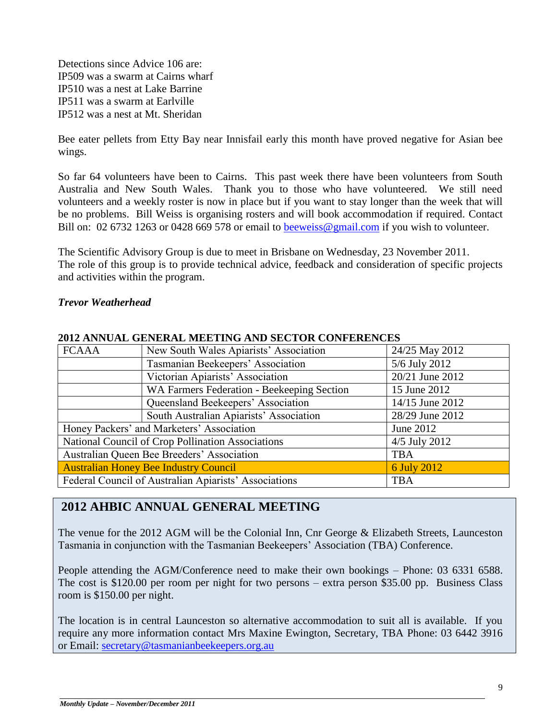Detections since Advice 106 are: IP509 was a swarm at Cairns wharf IP510 was a nest at Lake Barrine IP511 was a swarm at Earlville IP512 was a nest at Mt. Sheridan

Bee eater pellets from Etty Bay near Innisfail early this month have proved negative for Asian bee wings.

So far 64 volunteers have been to Cairns. This past week there have been volunteers from South Australia and New South Wales. Thank you to those who have volunteered. We still need volunteers and a weekly roster is now in place but if you want to stay longer than the week that will be no problems. Bill Weiss is organising rosters and will book accommodation if required. Contact Bill on: 02 6732 1263 or 0428 669 578 or email to [beeweiss@gmail.com](mailto:beeweiss@gmail.com) if you wish to volunteer.

The Scientific Advisory Group is due to meet in Brisbane on Wednesday, 23 November 2011. The role of this group is to provide technical advice, feedback and consideration of specific projects and activities within the program.

#### *Trevor Weatherhead*

| 2012 ANNUAL GENENAL MEETING AND SECTON CONTENENCES |                                                       |                 |  |  |  |  |
|----------------------------------------------------|-------------------------------------------------------|-----------------|--|--|--|--|
| <b>FCAAA</b>                                       | New South Wales Apiarists' Association                | 24/25 May 2012  |  |  |  |  |
|                                                    | Tasmanian Beekeepers' Association                     | 5/6 July 2012   |  |  |  |  |
|                                                    | Victorian Apiarists' Association                      | 20/21 June 2012 |  |  |  |  |
|                                                    | WA Farmers Federation - Beekeeping Section            | 15 June 2012    |  |  |  |  |
|                                                    | Queensland Beekeepers' Association                    | 14/15 June 2012 |  |  |  |  |
|                                                    | South Australian Apiarists' Association               | 28/29 June 2012 |  |  |  |  |
| Honey Packers' and Marketers' Association          |                                                       | June 2012       |  |  |  |  |
|                                                    | National Council of Crop Pollination Associations     | $4/5$ July 2012 |  |  |  |  |
|                                                    | Australian Queen Bee Breeders' Association            | <b>TBA</b>      |  |  |  |  |
|                                                    | <b>Australian Honey Bee Industry Council</b>          | 6 July 2012     |  |  |  |  |
|                                                    | Federal Council of Australian Apiarists' Associations | <b>TBA</b>      |  |  |  |  |

#### **2012 ANNUAL GENERAL MEETING AND SECTOR CONFERENCES**

### **2012 AHBIC ANNUAL GENERAL MEETING**

The venue for the 2012 AGM will be the Colonial Inn, Cnr George & Elizabeth Streets, Launceston Tasmania in conjunction with the Tasmanian Beekeepers' Association (TBA) Conference.

People attending the AGM/Conference need to make their own bookings – Phone: 03 6331 6588. The cost is \$120.00 per room per night for two persons – extra person \$35.00 pp. Business Class room is \$150.00 per night.

The location is in central Launceston so alternative accommodation to suit all is available. If you require any more information contact Mrs Maxine Ewington, Secretary, TBA Phone: 03 6442 3916 or Email: [secretary@tasmanianbeekeepers.org.au](mailto:secretary@tasmanianbeekeepers.org.au)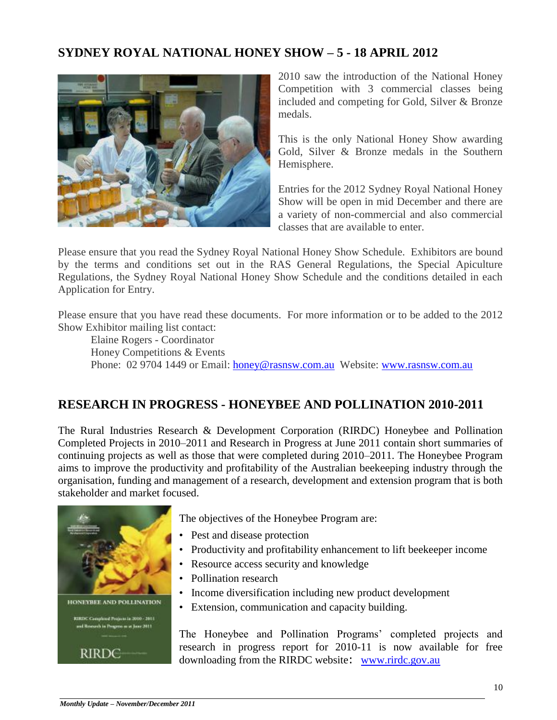## **SYDNEY ROYAL NATIONAL HONEY SHOW – 5 - 18 APRIL 2012**



2010 saw the introduction of the National Honey Competition with 3 commercial classes being included and competing for Gold, Silver & Bronze medals.

This is the only National Honey Show awarding Gold, Silver & Bronze medals in the Southern Hemisphere.

Entries for the 2012 Sydney Royal National Honey Show will be open in mid December and there are a variety of non-commercial and also commercial classes that are available to enter.

Please ensure that you read the Sydney Royal National Honey Show Schedule. Exhibitors are bound by the terms and conditions set out in the RAS General Regulations, the Special Apiculture Regulations, the Sydney Royal National Honey Show Schedule and the conditions detailed in each Application for Entry.

Please ensure that you have read these documents. For more information or to be added to the 2012 Show Exhibitor mailing list contact:

Elaine Rogers - Coordinator Honey Competitions & Events Phone: 02 9704 1449 or Email: [honey@rasnsw.com.au](mailto:honey@rasnsw.com.au) Website: [www.rasnsw.com.au](http://www.rasnsw.com.au/)

## **RESEARCH IN PROGRESS - HONEYBEE AND POLLINATION 2010-2011**

The Rural Industries Research & Development Corporation (RIRDC) Honeybee and Pollination Completed Projects in 2010–2011 and Research in Progress at June 2011 contain short summaries of continuing projects as well as those that were completed during 2010–2011. The Honeybee Program aims to improve the productivity and profitability of the Australian beekeeping industry through the organisation, funding and management of a research, development and extension program that is both stakeholder and market focused.



The objectives of the Honeybee Program are:

- Pest and disease protection
- Productivity and profitability enhancement to lift beekeeper income
- Resource access security and knowledge
- Pollination research
- Income diversification including new product development
- Extension, communication and capacity building.

The Honeybee and Pollination Programs' completed projects and research in progress report for 2010-11 is now available for free downloading from the RIRDC website: [www.rirdc.gov.au](http://www.rirdc.gov.au/)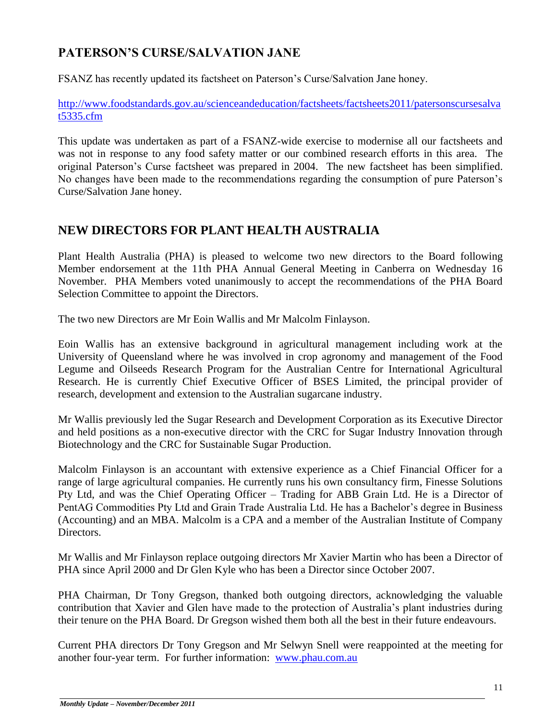## **PATERSON'S CURSE/SALVATION JANE**

FSANZ has recently updated its factsheet on Paterson's Curse/Salvation Jane honey.

[http://www.foodstandards.gov.au/scienceandeducation/factsheets/factsheets2011/patersonscursesalva](http://www.foodstandards.gov.au/scienceandeducation/factsheets/factsheets2011/patersonscursesalvat5335.cfm) [t5335.cfm](http://www.foodstandards.gov.au/scienceandeducation/factsheets/factsheets2011/patersonscursesalvat5335.cfm)

This update was undertaken as part of a FSANZ-wide exercise to modernise all our factsheets and was not in response to any food safety matter or our combined research efforts in this area. The original Paterson's Curse factsheet was prepared in 2004. The new factsheet has been simplified. No changes have been made to the recommendations regarding the consumption of pure Paterson's Curse/Salvation Jane honey.

## **NEW DIRECTORS FOR PLANT HEALTH AUSTRALIA**

Plant Health Australia (PHA) is pleased to welcome two new directors to the Board following Member endorsement at the 11th PHA Annual General Meeting in Canberra on Wednesday 16 November. PHA Members voted unanimously to accept the recommendations of the PHA Board Selection Committee to appoint the Directors.

The two new Directors are Mr Eoin Wallis and Mr Malcolm Finlayson.

Eoin Wallis has an extensive background in agricultural management including work at the University of Queensland where he was involved in crop agronomy and management of the Food Legume and Oilseeds Research Program for the Australian Centre for International Agricultural Research. He is currently Chief Executive Officer of BSES Limited, the principal provider of research, development and extension to the Australian sugarcane industry.

Mr Wallis previously led the Sugar Research and Development Corporation as its Executive Director and held positions as a non-executive director with the CRC for Sugar Industry Innovation through Biotechnology and the CRC for Sustainable Sugar Production.

Malcolm Finlayson is an accountant with extensive experience as a Chief Financial Officer for a range of large agricultural companies. He currently runs his own consultancy firm, Finesse Solutions Pty Ltd, and was the Chief Operating Officer – Trading for ABB Grain Ltd. He is a Director of PentAG Commodities Pty Ltd and Grain Trade Australia Ltd. He has a Bachelor's degree in Business (Accounting) and an MBA. Malcolm is a CPA and a member of the Australian Institute of Company Directors.

Mr Wallis and Mr Finlayson replace outgoing directors Mr Xavier Martin who has been a Director of PHA since April 2000 and Dr Glen Kyle who has been a Director since October 2007.

PHA Chairman, Dr Tony Gregson, thanked both outgoing directors, acknowledging the valuable contribution that Xavier and Glen have made to the protection of Australia's plant industries during their tenure on the PHA Board. Dr Gregson wished them both all the best in their future endeavours.

Current PHA directors Dr Tony Gregson and Mr Selwyn Snell were reappointed at the meeting for another four-year term. For further information: [www.phau.com.au](http://www.phau.com.au/)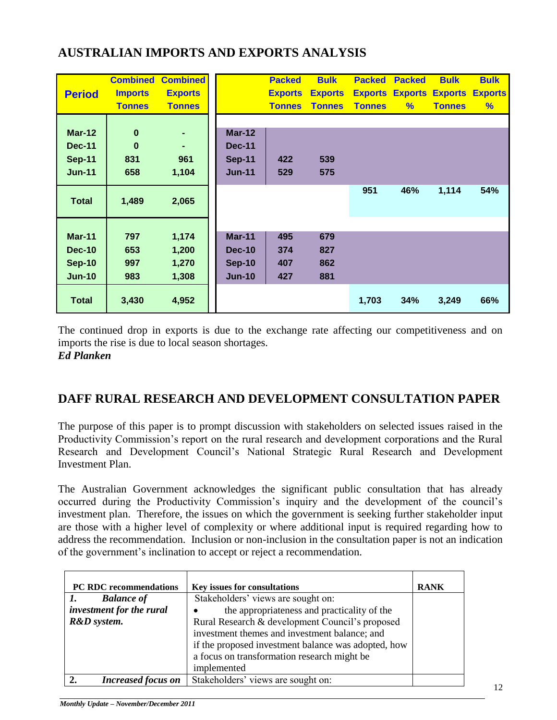## **AUSTRALIAN IMPORTS AND EXPORTS ANALYSIS**

|               | <b>Combined</b> | <b>Combined</b> |               | <b>Packed</b>  | <b>Bulk</b>    | <b>Packed</b> | <b>Packed</b> | <b>Bulk</b>                    | <b>Bulk</b>    |
|---------------|-----------------|-----------------|---------------|----------------|----------------|---------------|---------------|--------------------------------|----------------|
| <b>Period</b> | <b>Imports</b>  | <b>Exports</b>  |               | <b>Exports</b> | <b>Exports</b> |               |               | <b>Exports Exports Exports</b> | <b>Exports</b> |
|               | <b>Tonnes</b>   | <b>Tonnes</b>   |               | <b>Tonnes</b>  | <b>Tonnes</b>  | <b>Tonnes</b> | $\%$          | <b>Tonnes</b>                  | %              |
|               |                 |                 |               |                |                |               |               |                                |                |
| $Mar-12$      | $\bf{0}$        | ٠               | <b>Mar-12</b> |                |                |               |               |                                |                |
| <b>Dec-11</b> | $\bf{0}$        | ۰               | <b>Dec-11</b> |                |                |               |               |                                |                |
| <b>Sep-11</b> | 831             | 961             | <b>Sep-11</b> | 422            | 539            |               |               |                                |                |
| <b>Jun-11</b> | 658             | 1,104           | <b>Jun-11</b> | 529            | 575            |               |               |                                |                |
|               |                 |                 |               |                |                | 951           | 46%           | 1,114                          | 54%            |
| <b>Total</b>  | 1,489           | 2,065           |               |                |                |               |               |                                |                |
|               |                 |                 |               |                |                |               |               |                                |                |
|               |                 |                 |               |                |                |               |               |                                |                |
| <b>Mar-11</b> | 797             | 1,174           | <b>Mar-11</b> | 495            | 679            |               |               |                                |                |
| <b>Dec-10</b> | 653             | 1,200           | <b>Dec-10</b> | 374            | 827            |               |               |                                |                |
| <b>Sep-10</b> | 997             | 1,270           | <b>Sep-10</b> | 407            | 862            |               |               |                                |                |
| <b>Jun-10</b> | 983             | 1,308           | <b>Jun-10</b> | 427            | 881            |               |               |                                |                |
| <b>Total</b>  | 3,430           | 4,952           |               |                |                | 1,703         | 34%           | 3,249                          | 66%            |
|               |                 |                 |               |                |                |               |               |                                |                |

The continued drop in exports is due to the exchange rate affecting our competitiveness and on imports the rise is due to local season shortages.

*Ed Planken*

## **DAFF RURAL RESEARCH AND DEVELOPMENT CONSULTATION PAPER**

The purpose of this paper is to prompt discussion with stakeholders on selected issues raised in the Productivity Commission's report on the rural research and development corporations and the Rural Research and Development Council's National Strategic Rural Research and Development Investment Plan.

The Australian Government acknowledges the significant public consultation that has already occurred during the Productivity Commission's inquiry and the development of the council's investment plan. Therefore, the issues on which the government is seeking further stakeholder input are those with a higher level of complexity or where additional input is required regarding how to address the recommendation. Inclusion or non-inclusion in the consultation paper is not an indication of the government's inclination to accept or reject a recommendation.

| <b>PC RDC recommendations</b> | Key issues for consultations                        | <b>RANK</b> |
|-------------------------------|-----------------------------------------------------|-------------|
| <b>Balance of</b>             | Stakeholders' views are sought on:                  |             |
| investment for the rural      | the appropriateness and practicality of the         |             |
| R&D system.                   | Rural Research & development Council's proposed     |             |
|                               | investment themes and investment balance; and       |             |
|                               | if the proposed investment balance was adopted, how |             |
|                               | a focus on transformation research might be         |             |
|                               | implemented                                         |             |
| <b>Increased focus on</b>     | Stakeholders' views are sought on:                  |             |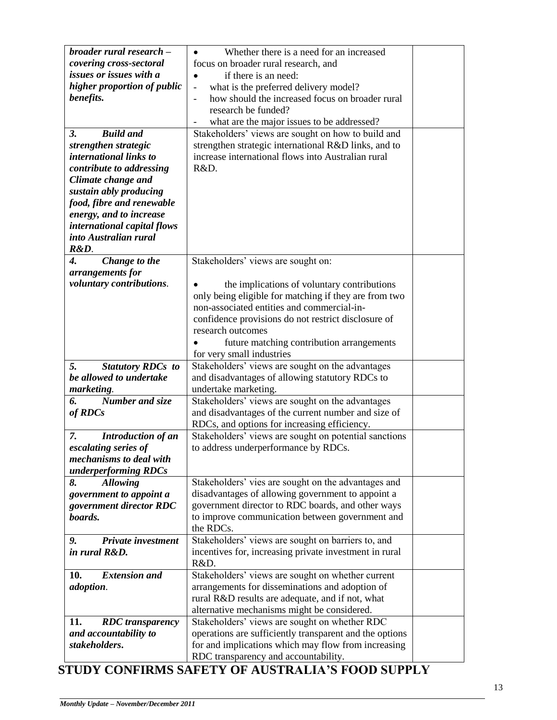| broader rural research -       | Whether there is a need for an increased                          |  |
|--------------------------------|-------------------------------------------------------------------|--|
| covering cross-sectoral        | focus on broader rural research, and                              |  |
| issues or issues with a        | if there is an need:                                              |  |
| higher proportion of public    | what is the preferred delivery model?<br>$\blacksquare$           |  |
| benefits.                      | how should the increased focus on broader rural<br>$\overline{a}$ |  |
|                                | research be funded?                                               |  |
|                                | what are the major issues to be addressed?                        |  |
| <b>Build and</b><br>3.         | Stakeholders' views are sought on how to build and                |  |
| strengthen strategic           | strengthen strategic international R&D links, and to              |  |
| international links to         | increase international flows into Australian rural                |  |
|                                | R&D.                                                              |  |
| contribute to addressing       |                                                                   |  |
| Climate change and             |                                                                   |  |
| sustain ably producing         |                                                                   |  |
| food, fibre and renewable      |                                                                   |  |
| energy, and to increase        |                                                                   |  |
| international capital flows    |                                                                   |  |
| into Australian rural          |                                                                   |  |
| R&D.                           |                                                                   |  |
| Change to the<br>4.            | Stakeholders' views are sought on:                                |  |
| arrangements for               |                                                                   |  |
| voluntary contributions.       | the implications of voluntary contributions                       |  |
|                                | only being eligible for matching if they are from two             |  |
|                                | non-associated entities and commercial-in-                        |  |
|                                | confidence provisions do not restrict disclosure of               |  |
|                                | research outcomes                                                 |  |
|                                |                                                                   |  |
|                                | future matching contribution arrangements                         |  |
|                                | for very small industries                                         |  |
| <b>Statutory RDCs to</b><br>5. | Stakeholders' views are sought on the advantages                  |  |
| be allowed to undertake        | and disadvantages of allowing statutory RDCs to                   |  |
| marketing.                     | undertake marketing.                                              |  |
| Number and size<br>6.          | Stakeholders' views are sought on the advantages                  |  |
| of RDCs                        | and disadvantages of the current number and size of               |  |
|                                | RDCs, and options for increasing efficiency.                      |  |
| Introduction of an<br>7.       | Stakeholders' views are sought on potential sanctions             |  |
| escalating series of           | to address underperformance by RDCs.                              |  |
| mechanisms to deal with        |                                                                   |  |
| underperforming RDCs           |                                                                   |  |
| <b>Allowing</b><br>8.          | Stakeholders' vies are sought on the advantages and               |  |
| government to appoint a        | disadvantages of allowing government to appoint a                 |  |
| government director RDC        | government director to RDC boards, and other ways                 |  |
| boards.                        | to improve communication between government and                   |  |
|                                | the RDCs.                                                         |  |
| Private investment             |                                                                   |  |
| 9.                             | Stakeholders' views are sought on barriers to, and                |  |
| in rural R&D.                  | incentives for, increasing private investment in rural            |  |
|                                | R&D.                                                              |  |
| <b>Extension and</b><br>10.    | Stakeholders' views are sought on whether current                 |  |
| adoption.                      | arrangements for disseminations and adoption of                   |  |
|                                | rural R&D results are adequate, and if not, what                  |  |
|                                | alternative mechanisms might be considered.                       |  |
| 11.<br><b>RDC</b> transparency | Stakeholders' views are sought on whether RDC                     |  |
| and accountability to          | operations are sufficiently transparent and the options           |  |
| stakeholders.                  | for and implications which may flow from increasing               |  |
|                                | RDC transparency and accountability.                              |  |
|                                |                                                                   |  |

## **STUDY CONFIRMS SAFETY OF AUSTRALIA'S FOOD SUPPLY**